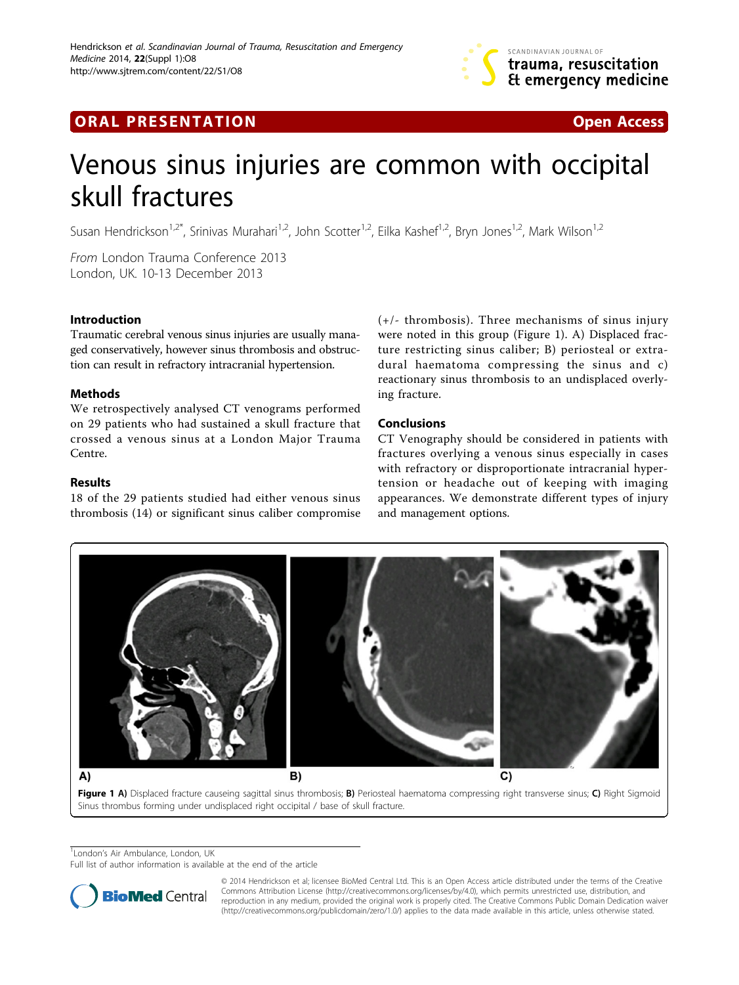

## **ORAL PRESENTATION ORAL PRESENTATION**



# Venous sinus injuries are common with occipital skull fractures

Susan Hendrickson<sup>1,2\*</sup>, Srinivas Murahari<sup>1,2</sup>, John Scotter<sup>1,2</sup>, Eilka Kashef<sup>1,2</sup>, Bryn Jones<sup>1,2</sup>, Mark Wilson<sup>1,2</sup>

From London Trauma Conference 2013 London, UK. 10-13 December 2013

### Introduction

Traumatic cerebral venous sinus injuries are usually managed conservatively, however sinus thrombosis and obstruction can result in refractory intracranial hypertension.

### Methods

We retrospectively analysed CT venograms performed on 29 patients who had sustained a skull fracture that crossed a venous sinus at a London Major Trauma Centre.

## Results

18 of the 29 patients studied had either venous sinus thrombosis (14) or significant sinus caliber compromise (+/- thrombosis). Three mechanisms of sinus injury were noted in this group (Figure 1). A) Displaced fracture restricting sinus caliber; B) periosteal or extradural haematoma compressing the sinus and c) reactionary sinus thrombosis to an undisplaced overlying fracture.

## Conclusions

CT Venography should be considered in patients with fractures overlying a venous sinus especially in cases with refractory or disproportionate intracranial hypertension or headache out of keeping with imaging appearances. We demonstrate different types of injury and management options.



Figure 1 A) Displaced fracture causeing sagittal sinus thrombosis; B) Periosteal haematoma compressing right transverse sinus; C) Right Sigmoid Sinus thrombus forming under undisplaced right occipital / base of skull fracture.

<sup>1</sup> London's Air Ambulance, London, UK

Full list of author information is available at the end of the article



© 2014 Hendrickson et al; licensee BioMed Central Ltd. This is an Open Access article distributed under the terms of the Creative Commons Attribution License [\(http://creativecommons.org/licenses/by/4.0](http://creativecommons.org/licenses/by/4.0)), which permits unrestricted use, distribution, and reproduction in any medium, provided the original work is properly cited. The Creative Commons Public Domain Dedication waiver [\(http://creativecommons.org/publicdomain/zero/1.0/](http://creativecommons.org/publicdomain/zero/1.0/)) applies to the data made available in this article, unless otherwise stated.